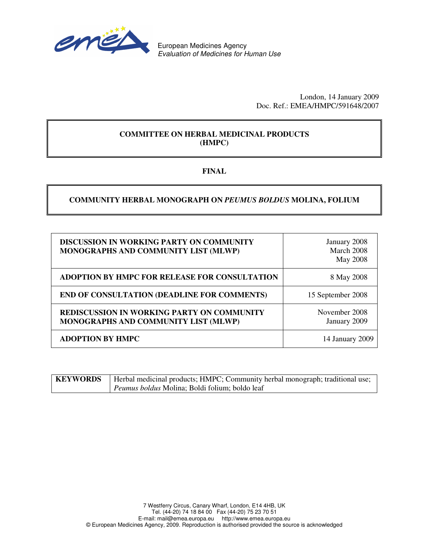

European Medicines Agency *Evaluation of Medicines for Human Use*

> London, 14 January 2009 Doc. Ref.: EMEA/HMPC/591648/2007

### **COMMITTEE ON HERBAL MEDICINAL PRODUCTS (HMPC)**

### **FINAL**

### **COMMUNITY HERBAL MONOGRAPH ON** *PEUMUS BOLDUS* **MOLINA, FOLIUM**

| <b>DISCUSSION IN WORKING PARTY ON COMMUNITY</b><br>MONOGRAPHS AND COMMUNITY LIST (MLWP)   | January 2008<br>March 2008<br><b>May 2008</b> |
|-------------------------------------------------------------------------------------------|-----------------------------------------------|
| ADOPTION BY HMPC FOR RELEASE FOR CONSULTATION                                             | 8 May 2008                                    |
| <b>END OF CONSULTATION (DEADLINE FOR COMMENTS)</b>                                        | 15 September 2008                             |
| <b>REDISCUSSION IN WORKING PARTY ON COMMUNITY</b><br>MONOGRAPHS AND COMMUNITY LIST (MLWP) | November 2008<br>January 2009                 |
| <b>ADOPTION BY HMPC</b>                                                                   | 14 January 2009                               |

| <b>KEYWORDS</b> | Herbal medicinal products; HMPC; Community herbal monograph; traditional use; |
|-----------------|-------------------------------------------------------------------------------|
|                 | <i>Peumus boldus</i> Molina; Boldi folium; boldo leaf                         |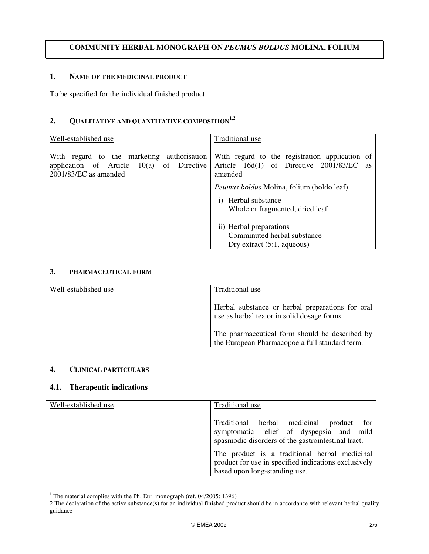### **COMMUNITY HERBAL MONOGRAPH ON** *PEUMUS BOLDUS* **MOLINA, FOLIUM**

#### **1. NAME OF THE MEDICINAL PRODUCT**

To be specified for the individual finished product.

## **2. QUALITATIVE AND QUANTITATIVE COMPOSITION 1,2**

| Well-established use                                                                                               | Traditional use                                                                                                  |
|--------------------------------------------------------------------------------------------------------------------|------------------------------------------------------------------------------------------------------------------|
| With regard to the marketing authorisation<br>application of Article $10(a)$ of Directive<br>2001/83/EC as amended | With regard to the registration application of<br>Article 16d(1) of Directive 2001/83/EC<br><b>as</b><br>amended |
|                                                                                                                    | <i>Peumus boldus</i> Molina, folium (boldo leaf)                                                                 |
|                                                                                                                    | i) Herbal substance<br>Whole or fragmented, dried leaf                                                           |
|                                                                                                                    | ii) Herbal preparations                                                                                          |
|                                                                                                                    | Comminuted herbal substance                                                                                      |
|                                                                                                                    | Dry extract $(5:1, aqueous)$                                                                                     |

#### **3. PHARMACEUTICAL FORM**

| Well-established use | Traditional use                                                                                  |
|----------------------|--------------------------------------------------------------------------------------------------|
|                      | Herbal substance or herbal preparations for oral<br>use as herbal tea or in solid dosage forms.  |
|                      | The pharmaceutical form should be described by<br>the European Pharmacopoeia full standard term. |

#### **4. CLINICAL PARTICULARS**

#### **4.1. Therapeutic indications**

| Well-established use | Traditional use                                                                                                                                  |
|----------------------|--------------------------------------------------------------------------------------------------------------------------------------------------|
|                      | Traditional herbal medicinal<br>for<br>product<br>symptomatic relief of dyspepsia and mild<br>spasmodic disorders of the gastrointestinal tract. |
|                      | The product is a traditional herbal medicinal<br>product for use in specified indications exclusively<br>based upon long-standing use.           |

<sup>&</sup>lt;sup>1</sup> The material complies with the Ph. Eur. monograph (ref. 04/2005: 1396)

<sup>2</sup> The declaration of the active substance(s) for an individual finished product should be in accordance with relevant herbal quality guidance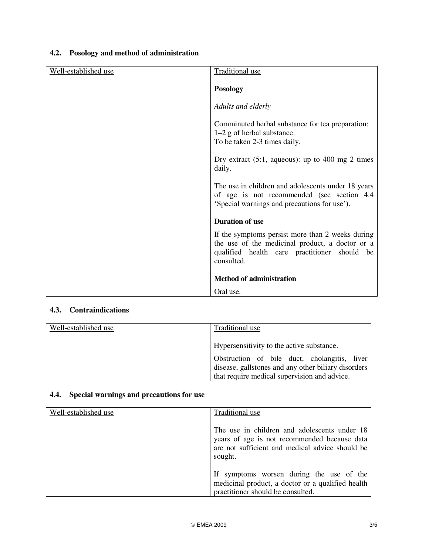# **4.2. Posology and method of administration**

| Well-established use | <b>Traditional use</b>                                                                                                                                            |
|----------------------|-------------------------------------------------------------------------------------------------------------------------------------------------------------------|
|                      | <b>Posology</b>                                                                                                                                                   |
|                      | Adults and elderly                                                                                                                                                |
|                      | Comminuted herbal substance for tea preparation:<br>$1-2$ g of herbal substance.<br>To be taken 2-3 times daily.                                                  |
|                      | Dry extract $(5:1, aqueous)$ : up to 400 mg 2 times<br>daily.                                                                                                     |
|                      | The use in children and adolescents under 18 years<br>of age is not recommended (see section 4.4<br>'Special warnings and precautions for use').                  |
|                      | <b>Duration of use</b>                                                                                                                                            |
|                      | If the symptoms persist more than 2 weeks during<br>the use of the medicinal product, a doctor or a<br>qualified health care practitioner should be<br>consulted. |
|                      | <b>Method of administration</b>                                                                                                                                   |
|                      | Oral use.                                                                                                                                                         |

# **4.3. Contraindications**

| Well-established use | Traditional use                                                                                     |
|----------------------|-----------------------------------------------------------------------------------------------------|
|                      | Hypersensitivity to the active substance.                                                           |
|                      | Obstruction of bile duct, cholangitis, liver<br>disease, gallstones and any other biliary disorders |
|                      | that require medical supervision and advice.                                                        |

# **4.4. Special warnings and precautions for use**

| Well-established use | Traditional use                                                                                                                                            |
|----------------------|------------------------------------------------------------------------------------------------------------------------------------------------------------|
|                      | The use in children and adolescents under 18<br>years of age is not recommended because data<br>are not sufficient and medical advice should be<br>sought. |
|                      | If symptoms worsen during the use of the<br>medicinal product, a doctor or a qualified health<br>practitioner should be consulted.                         |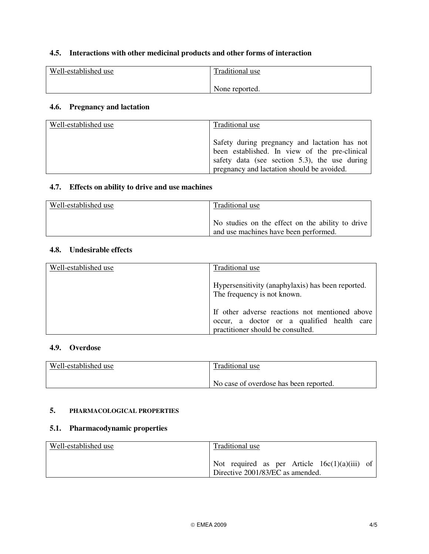## **4.5. Interactions with other medicinal products and other forms of interaction**

| Well-established use | Traditional use |
|----------------------|-----------------|
|                      | None reported.  |

## **4.6. Pregnancy and lactation**

| Well-established use | Traditional use                                                                                                                                                                               |
|----------------------|-----------------------------------------------------------------------------------------------------------------------------------------------------------------------------------------------|
|                      | Safety during pregnancy and lactation has not<br>been established. In view of the pre-clinical<br>safety data (see section 5.3), the use during<br>pregnancy and lactation should be avoided. |

## **4.7. Effects on ability to drive and use machines**

| Well-established use | Traditional use                                                                           |
|----------------------|-------------------------------------------------------------------------------------------|
|                      | No studies on the effect on the ability to drive<br>and use machines have been performed. |

### **4.8. Undesirable effects**

| Well-established use | Traditional use                                                                                                                   |
|----------------------|-----------------------------------------------------------------------------------------------------------------------------------|
|                      | Hypersensitivity (anaphylaxis) has been reported.<br>The frequency is not known.                                                  |
|                      | If other adverse reactions not mentioned above<br>occur, a doctor or a qualified health care<br>practitioner should be consulted. |

#### **4.9. Overdose**

| Well-established use | Traditional use                        |
|----------------------|----------------------------------------|
|                      | No case of overdose has been reported. |

#### **5. PHARMACOLOGICAL PROPERTIES**

## **5.1. Pharmacodynamic properties**

| Well-established use | Traditional use                                                                     |
|----------------------|-------------------------------------------------------------------------------------|
|                      | Not required as per Article $16c(1)(a)(iii)$ of<br>Directive 2001/83/EC as amended. |